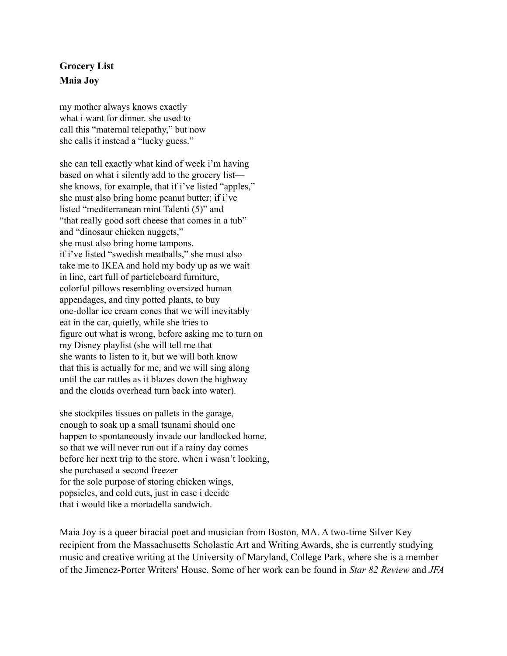## **Grocery List Maia Joy**

my mother always knows exactly what i want for dinner. she used to call this "maternal telepathy," but now she calls it instead a "lucky guess."

she can tell exactly what kind of week i'm having based on what i silently add to the grocery list she knows, for example, that if i've listed "apples," she must also bring home peanut butter; if i've listed "mediterranean mint Talenti (5)" and "that really good soft cheese that comes in a tub" and "dinosaur chicken nuggets," she must also bring home tampons. if i've listed "swedish meatballs," she must also take me to IKEA and hold my body up as we wait in line, cart full of particleboard furniture, colorful pillows resembling oversized human appendages, and tiny potted plants, to buy one-dollar ice cream cones that we will inevitably eat in the car, quietly, while she tries to figure out what is wrong, before asking me to turn on my Disney playlist (she will tell me that she wants to listen to it, but we will both know that this is actually for me, and we will sing along until the car rattles as it blazes down the highway and the clouds overhead turn back into water).

she stockpiles tissues on pallets in the garage, enough to soak up a small tsunami should one happen to spontaneously invade our landlocked home, so that we will never run out if a rainy day comes before her next trip to the store. when i wasn't looking, she purchased a second freezer for the sole purpose of storing chicken wings, popsicles, and cold cuts, just in case i decide that i would like a mortadella sandwich.

Maia Joy is a queer biracial poet and musician from Boston, MA. A two-time Silver Key recipient from the Massachusetts Scholastic Art and Writing Awards, she is currently studying music and creative writing at the University of Maryland, College Park, where she is a member of the Jimenez-Porter Writers' House. Some of her work can be found in *Star 82 Review* and *JFA*